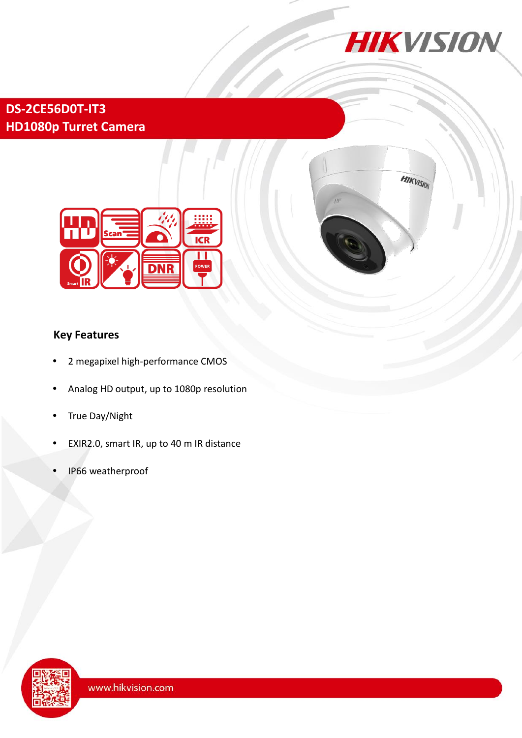

HIKVISION

## **DS-2CE56D0T-IT3 HD1080p Turret Camera**



### **Key Features**

- 2 megapixel high-performance CMOS
- Analog HD output, up to 1080p resolution
- True Day/Night
- EXIR2.0, smart IR, up to 40 m IR distance
- IP66 weatherproof

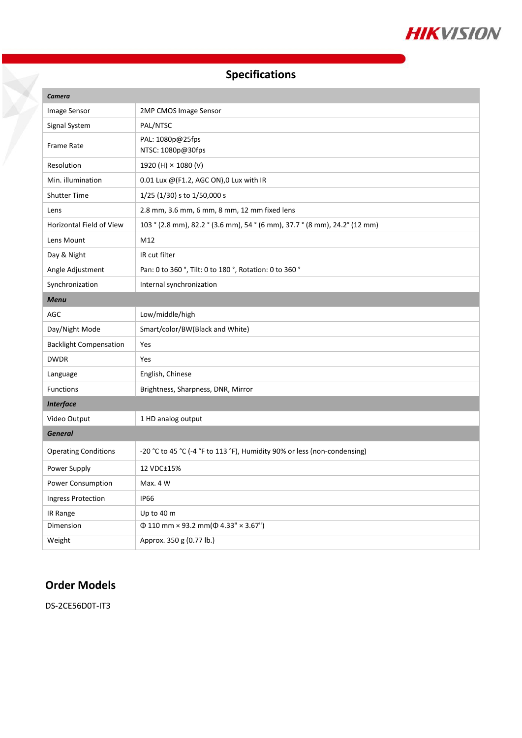

# **Specifications**

| Camera                        |                                                                             |
|-------------------------------|-----------------------------------------------------------------------------|
| Image Sensor                  | 2MP CMOS Image Sensor                                                       |
| Signal System                 | PAL/NTSC                                                                    |
| Frame Rate                    | PAL: 1080p@25fps<br>NTSC: 1080p@30fps                                       |
| Resolution                    | 1920 (H) × 1080 (V)                                                         |
| Min. illumination             | 0.01 Lux $@$ (F1.2, AGC ON), 0 Lux with IR                                  |
| <b>Shutter Time</b>           | 1/25 (1/30) s to 1/50,000 s                                                 |
| Lens                          | 2.8 mm, 3.6 mm, 6 mm, 8 mm, 12 mm fixed lens                                |
| Horizontal Field of View      | 103 ° (2.8 mm), 82.2 ° (3.6 mm), 54 ° (6 mm), 37.7 ° (8 mm), 24.2 ° (12 mm) |
| Lens Mount                    | M12                                                                         |
| Day & Night                   | IR cut filter                                                               |
| Angle Adjustment              | Pan: 0 to 360 °, Tilt: 0 to 180 °, Rotation: 0 to 360 °                     |
| Synchronization               | Internal synchronization                                                    |
| <b>Menu</b>                   |                                                                             |
| AGC                           | Low/middle/high                                                             |
| Day/Night Mode                | Smart/color/BW(Black and White)                                             |
| <b>Backlight Compensation</b> | Yes                                                                         |
| <b>DWDR</b>                   | Yes                                                                         |
| Language                      | English, Chinese                                                            |
| <b>Functions</b>              | Brightness, Sharpness, DNR, Mirror                                          |
| <b>Interface</b>              |                                                                             |
| Video Output                  | 1 HD analog output                                                          |
| <b>General</b>                |                                                                             |
| <b>Operating Conditions</b>   | -20 °C to 45 °C (-4 °F to 113 °F), Humidity 90% or less (non-condensing)    |
| Power Supply                  | 12 VDC±15%                                                                  |
| Power Consumption             | Max. 4 W                                                                    |
| Ingress Protection            | <b>IP66</b>                                                                 |
| IR Range                      | Up to 40 m                                                                  |
| Dimension                     | $\Phi$ 110 mm × 93.2 mm( $\Phi$ 4.33" × 3.67")                              |
| Weight                        | Approx. 350 g (0.77 lb.)                                                    |

## **Order Models**

X

DS-2CE56D0T-IT3